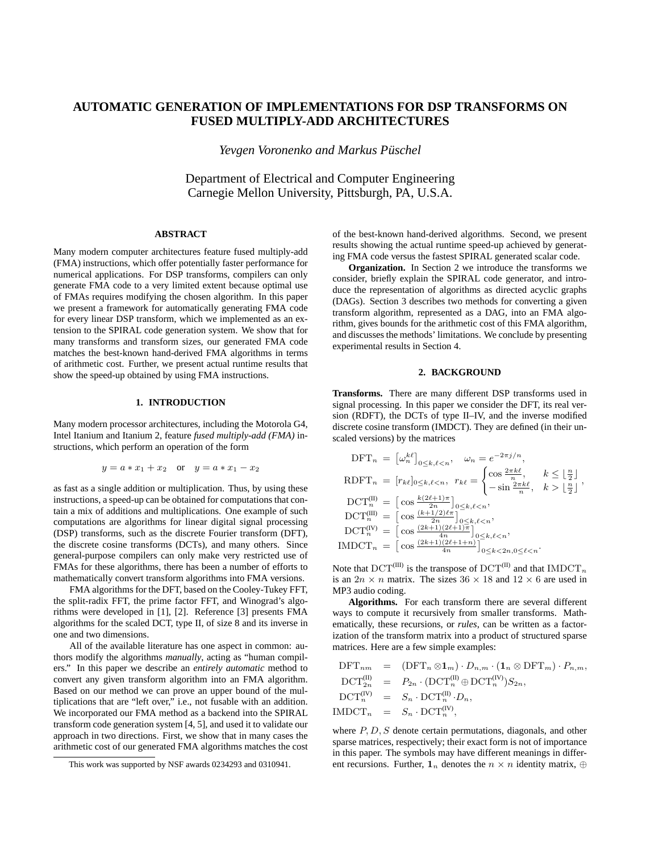# **AUTOMATIC GENERATION OF IMPLEMENTATIONS FOR DSP TRANSFORMS ON FUSED MULTIPLY-ADD ARCHITECTURES**

*Yevgen Voronenko and Markus Pusc ¨ hel*

Department of Electrical and Computer Engineering Carnegie Mellon University, Pittsburgh, PA, U.S.A.

## **ABSTRACT**

Many modern computer architectures feature fused multiply-add (FMA) instructions, which offer potentially faster performance for numerical applications. For DSP transforms, compilers can only generate FMA code to a very limited extent because optimal use of FMAs requires modifying the chosen algorithm. In this paper we present a framework for automatically generating FMA code for every linear DSP transform, which we implemented as an extension to the SPIRAL code generation system. We show that for many transforms and transform sizes, our generated FMA code matches the best-known hand-derived FMA algorithms in terms of arithmetic cost. Further, we present actual runtime results that show the speed-up obtained by using FMA instructions.

## **1. INTRODUCTION**

Many modern processor architectures, including the Motorola G4, Intel Itanium and Itanium 2, feature *fused multiply-add (FMA)* instructions, which perform an operation of the form

$$
y = a * x_1 + x_2
$$
 or  $y = a * x_1 - x_2$ 

as fast as a single addition or multiplication. Thus, by using these instructions, a speed-up can be obtained for computations that contain a mix of additions and multiplications. One example of such computations are algorithms for linear digital signal processing (DSP) transforms, such as the discrete Fourier transform (DFT), the discrete cosine transforms (DCTs), and many others. Since general-purpose compilers can only make very restricted use of FMAs for these algorithms, there has been a number of efforts to mathematically convert transform algorithms into FMA versions.

FMA algorithms for the DFT, based on the Cooley-Tukey FFT, the split-radix FFT, the prime factor FFT, and Winograd's algorithms were developed in [1], [2]. Reference [3] presents FMA algorithms for the scaled DCT, type II, of size 8 and its inverse in one and two dimensions.

All of the available literature has one aspect in common: authors modify the algorithms *manually*, acting as "human compilers." In this paper we describe an *entirely automatic* method to convert any given transform algorithm into an FMA algorithm. Based on our method we can prove an upper bound of the multiplications that are "left over," i.e., not fusable with an addition. We incorporated our FMA method as a backend into the SPIRAL transform code generation system [4, 5], and used it to validate our approach in two directions. First, we show that in many cases the arithmetic cost of our generated FMA algorithms matches the cost of the best-known hand-derived algorithms. Second, we present results showing the actual runtime speed-up achieved by generating FMA code versus the fastest SPIRAL generated scalar code.

**Organization.** In Section 2 we introduce the transforms we consider, briefly explain the SPIRAL code generator, and introduce the representation of algorithms as directed acyclic graphs (DAGs). Section 3 describes two methods for converting a given transform algorithm, represented as a DAG, into an FMA algorithm, gives bounds for the arithmetic cost of this FMA algorithm, and discusses the methods' limitations. We conclude by presenting experimental results in Section 4.

## **2. BACKGROUND**

**Transforms.** There are many different DSP transforms used in signal processing. In this paper we consider the DFT, its real version (RDFT), the DCTs of type II–IV, and the inverse modified discrete cosine transform (IMDCT). They are defined (in their unscaled versions) by the matrices

$$
\begin{aligned}\n\text{DFT}_n &= \left[\omega_n^{k\ell}\right]_{0 \le k,\ell < n}, \quad \omega_n = e^{-2\pi j/n}, \\
\text{RDFT}_n &= \left[r_{k\ell}\right]_{0 \le k,\ell < n}, \quad r_{k\ell} = \begin{cases}\n\cos\frac{2\pi k\ell}{n}, & k \le \left\lfloor \frac{n}{2} \right\rfloor \\
-\sin\frac{2\pi k\ell}{n}, & k > \left\lfloor \frac{n}{2} \right\rfloor\n\end{cases}, \\
\text{DCT}_n^{(II)} &= \left[\cos\frac{k(2\ell+1)\pi}{2n}\right]_{0 \le k,\ell < n}, \\
\text{DCT}_n^{(III)} &= \left[\cos\frac{(2k+1)(2\ell+1)\pi}{4n}\right]_{0 \le k,\ell < n}, \\
\text{IMDCT}_n &= \left[\cos\frac{(2k+1)(2\ell+1+n)}{4n}\right]_{0 \le k, \ell < n}, \\
&= \left[\cos\frac{(2k+1)(2\ell+1+n)}{4n}\right]_{0 \le k, \ell < n, 0 \le \ell < n}.\n\end{aligned}
$$

Note that  $DCT^{(III)}$  is the transpose of  $DCT^{(II)}$  and that  $IMDCT_n$ is an  $2n \times n$  matrix. The sizes  $36 \times 18$  and  $12 \times 6$  are used in MP3 audio coding.

**Algorithms.** For each transform there are several different ways to compute it recursively from smaller transforms. Mathematically, these recursions, or *rules*, can be written as a factorization of the transform matrix into a product of structured sparse matrices. Here are a few simple examples:

$$
DFT_{nm} = (DFT_n \otimes 1_m) \cdot D_{n,m} \cdot (1_n \otimes DFT_m) \cdot P_{n,m},
$$
  
\n
$$
DCT_{2n}^{(II)} = P_{2n} \cdot (DCT_n^{(II)} \oplus DCT_n^{(IV)}) S_{2n},
$$
  
\n
$$
DCT_n^{(IV)} = S_n \cdot DCT_n^{(II)} \cdot D_n,
$$
  
\nIMDCT<sub>n</sub> = S<sub>n</sub> \cdot DCT\_n^{(IV)},

where P, D, S denote certain permutations, diagonals, and other sparse matrices, respectively; their exact form is not of importance in this paper. The symbols may have different meanings in different recursions. Further,  $\mathbf{1}_n$  denotes the  $n \times n$  identity matrix,  $\oplus$ 

This work was supported by NSF awards 0234293 and 0310941.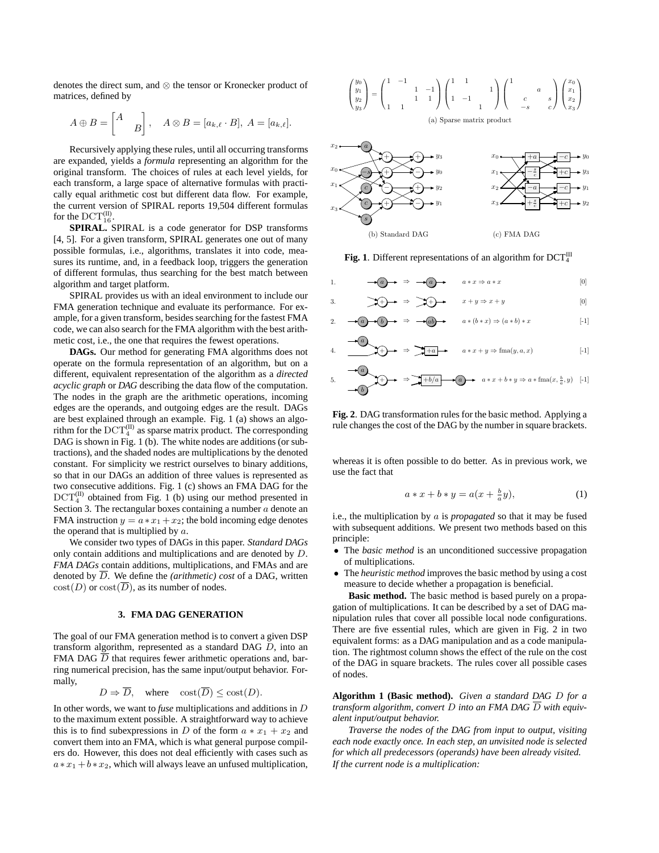denotes the direct sum, and ⊗ the tensor or Kronecker product of matrices, defined by

$$
A \oplus B = \begin{bmatrix} A \\ & B \end{bmatrix}, \quad A \otimes B = [a_{k,\ell} \cdot B], \ A = [a_{k,\ell}].
$$

Recursively applying these rules, until all occurring transforms are expanded, yields a *formula* representing an algorithm for the original transform. The choices of rules at each level yields, for each transform, a large space of alternative formulas with practically equal arithmetic cost but different data flow. For example, the current version of SPIRAL reports 19,504 different formulas for the  $\mathrm{DCT}_{16}^{(II)}$ .

**SPIRAL.** SPIRAL is a code generator for DSP transforms [4, 5]. For a given transform, SPIRAL generates one out of many possible formulas, i.e., algorithms, translates it into code, measures its runtime, and, in a feedback loop, triggers the generation of different formulas, thus searching for the best match between algorithm and target platform.

SPIRAL provides us with an ideal environment to include our FMA generation technique and evaluate its performance. For example, for a given transform, besides searching for the fastest FMA code, we can also search for the FMA algorithm with the best arithmetic cost, i.e., the one that requires the fewest operations.

**DAGs.** Our method for generating FMA algorithms does not operate on the formula representation of an algorithm, but on a different, equivalent representation of the algorithm as a *directed acyclic graph* or *DAG* describing the data flow of the computation. The nodes in the graph are the arithmetic operations, incoming edges are the operands, and outgoing edges are the result. DAGs are best explained through an example. Fig. 1 (a) shows an algorithm for the  $\mathrm{DCT}_4^{(\mathrm{II})}$  as sparse matrix product. The corresponding DAG is shown in Fig. 1 (b). The white nodes are additions (or subtractions), and the shaded nodes are multiplications by the denoted constant. For simplicity we restrict ourselves to binary additions, so that in our DAGs an addition of three values is represented as two consecutive additions. Fig. 1 (c) shows an FMA DAG for the  $DCT_4^{(II)}$  obtained from Fig. 1 (b) using our method presented in Section 3. The rectangular boxes containing a number  $a$  denote an FMA instruction  $y = a * x_1 + x_2$ ; the bold incoming edge denotes the operand that is multiplied by  $a$ .

We consider two types of DAGs in this paper. *Standard DAGs* only contain additions and multiplications and are denoted by D. *FMA DAGs* contain additions, multiplications, and FMAs and are denoted by  $\overline{D}$ . We define the *(arithmetic) cost* of a DAG, written  $cost(D)$  or  $cost(\overline{D})$ , as its number of nodes.

### **3. FMA DAG GENERATION**

The goal of our FMA generation method is to convert a given DSP transform algorithm, represented as a standard DAG D, into an FMA DAG  $\overline{D}$  that requires fewer arithmetic operations and, barring numerical precision, has the same input/output behavior. Formally,

$$
D \Rightarrow \overline{D}
$$
, where  $\text{cost}(\overline{D}) \leq \text{cost}(D)$ .

In other words, we want to *fuse* multiplications and additions in D to the maximum extent possible. A straightforward way to achieve this is to find subexpressions in D of the form  $a * x_1 + x_2$  and convert them into an FMA, which is what general purpose compilers do. However, this does not deal efficiently with cases such as  $a * x_1 + b * x_2$ , which will always leave an unfused multiplication,





Fig. 1. Different representations of an algorithm for  $DCT_4^{\text{III}}$ 

1. 
$$
\longrightarrow a \longrightarrow b \longrightarrow c \longrightarrow d
$$

$$
a * x \Rightarrow a * x
$$

$$
[0]
$$

3. 
$$
\mathcal{F}(x) \rightarrow \mathcal{F}(x) \rightarrow x+y \rightarrow x+y
$$
 [0]  
2. 
$$
\rightarrow a \rightarrow b \rightarrow \mathcal{F}(x) \rightarrow x+y \rightarrow a*(b*x) \rightarrow (a*b)*x
$$
 [1]

4. 
$$
\overrightarrow{a} \qquad \qquad + \rightarrow \qquad \overrightarrow{a} \qquad a * x + y \Rightarrow \text{fma}(y, a, x) \qquad \qquad [-1]
$$

+ a b ⇒ +b/a a a ∗ x + b ∗ y ⇒ a ∗ fma(x, <sup>b</sup> a 5. , y) [-1]

**Fig. 2**. DAG transformation rules for the basic method. Applying a rule changes the cost of the DAG by the number in square brackets.

whereas it is often possible to do better. As in previous work, we use the fact that

$$
a * x + b * y = a(x + \frac{b}{a}y), \tag{1}
$$

i.e., the multiplication by a is *propagated* so that it may be fused with subsequent additions. We present two methods based on this principle:

- The *basic method* is an unconditioned successive propagation of multiplications.
- The *heuristic method* improves the basic method by using a cost measure to decide whether a propagation is beneficial.

**Basic method.** The basic method is based purely on a propagation of multiplications. It can be described by a set of DAG manipulation rules that cover all possible local node configurations. There are five essential rules, which are given in Fig. 2 in two equivalent forms: as a DAG manipulation and as a code manipulation. The rightmost column shows the effect of the rule on the cost of the DAG in square brackets. The rules cover all possible cases of nodes.

**Algorithm 1 (Basic method).** *Given a standard DAG* D *for a transform algorithm, convert* D *into an FMA DAG*  $\overline{D}$  *with equivalent input/output behavior.*

*Traverse the nodes of the DAG from input to output, visiting each node exactly once. In each step, an unvisited node is selected for which all predecessors (operands) have been already visited. If the current node is a multiplication:*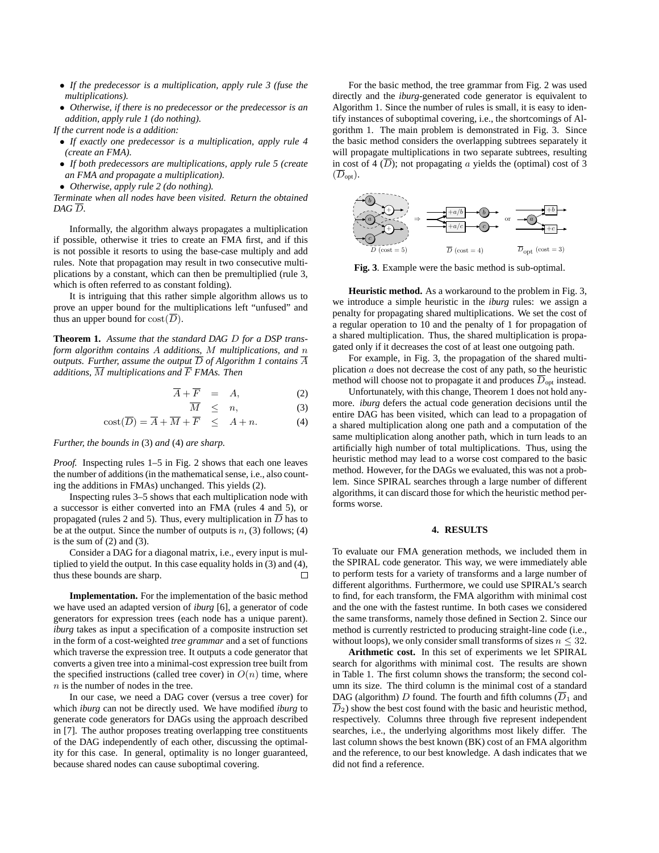- *If the predecessor is a multiplication, apply rule 3 (fuse the multiplications).*
- *Otherwise, if there is no predecessor or the predecessor is an addition, apply rule 1 (do nothing).*

*If the current node is a addition:*

- *If exactly one predecessor is a multiplication, apply rule 4 (create an FMA).*
- *If both predecessors are multiplications, apply rule 5 (create an FMA and propagate a multiplication).*
- *Otherwise, apply rule 2 (do nothing).*

*Terminate when all nodes have been visited. Return the obtained*  $DAG\overline{D}$ .

Informally, the algorithm always propagates a multiplication if possible, otherwise it tries to create an FMA first, and if this is not possible it resorts to using the base-case multiply and add rules. Note that propagation may result in two consecutive multiplications by a constant, which can then be premultiplied (rule 3, which is often referred to as constant folding).

It is intriguing that this rather simple algorithm allows us to prove an upper bound for the multiplications left "unfused" and thus an upper bound for  $cost(\overline{D})$ .

**Theorem 1.** *Assume that the standard DAG* D *for a DSP transform algorithm contains* A *additions,* M *multiplications, and* n *outputs.* Further, assume the output  $\overline{D}$  of Algorithm 1 contains  $\overline{A}$ *additions,*  $\overline{M}$  *multiplications* and  $\overline{F}$  *FMAs. Then* 

$$
\overline{A} + \overline{F} = A, \tag{2}
$$

$$
\overline{M} \leq n, \tag{3}
$$

$$
\text{cost}(\overline{D}) = \overline{A} + \overline{M} + \overline{F} \leq A + n. \tag{4}
$$

*Further, the bounds in* (3) *and* (4) *are sharp.*

*Proof.* Inspecting rules 1–5 in Fig. 2 shows that each one leaves the number of additions (in the mathematical sense, i.e., also counting the additions in FMAs) unchanged. This yields (2).

Inspecting rules 3–5 shows that each multiplication node with a successor is either converted into an FMA (rules 4 and 5), or propagated (rules 2 and 5). Thus, every multiplication in  $\overline{D}$  has to be at the output. Since the number of outputs is  $n$ , (3) follows; (4) is the sum of  $(2)$  and  $(3)$ .

Consider a DAG for a diagonal matrix, i.e., every input is multiplied to yield the output. In this case equality holds in (3) and (4), thus these bounds are sharp.  $\Box$ 

**Implementation.** For the implementation of the basic method we have used an adapted version of *iburg* [6], a generator of code generators for expression trees (each node has a unique parent). *iburg* takes as input a specification of a composite instruction set in the form of a cost-weighted *tree grammar* and a set of functions which traverse the expression tree. It outputs a code generator that converts a given tree into a minimal-cost expression tree built from the specified instructions (called tree cover) in  $O(n)$  time, where  $n$  is the number of nodes in the tree.

In our case, we need a DAG cover (versus a tree cover) for which *iburg* can not be directly used. We have modified *iburg* to generate code generators for DAGs using the approach described in [7]. The author proposes treating overlapping tree constituents of the DAG independently of each other, discussing the optimality for this case. In general, optimality is no longer guaranteed, because shared nodes can cause suboptimal covering.

For the basic method, the tree grammar from Fig. 2 was used directly and the *iburg*-generated code generator is equivalent to Algorithm 1. Since the number of rules is small, it is easy to identify instances of suboptimal covering, i.e., the shortcomings of Algorithm 1. The main problem is demonstrated in Fig. 3. Since the basic method considers the overlapping subtrees separately it will propagate multiplications in two separate subtrees, resulting in cost of 4  $(\overline{D})$ ; not propagating a yields the (optimal) cost of 3  $(\overline{D}_{\text{opt}})$ .



**Fig. 3**. Example were the basic method is sub-optimal.

**Heuristic method.** As a workaround to the problem in Fig. 3, we introduce a simple heuristic in the *iburg* rules: we assign a penalty for propagating shared multiplications. We set the cost of a regular operation to 10 and the penalty of 1 for propagation of a shared multiplication. Thus, the shared multiplication is propagated only if it decreases the cost of at least one outgoing path.

For example, in Fig. 3, the propagation of the shared multiplication  $\alpha$  does not decrease the cost of any path, so the heuristic method will choose not to propagate it and produces  $\overline{D}_{\text{opt}}$  instead.

Unfortunately, with this change, Theorem 1 does not hold anymore. *iburg* defers the actual code generation decisions until the entire DAG has been visited, which can lead to a propagation of a shared multiplication along one path and a computation of the same multiplication along another path, which in turn leads to an artificially high number of total multiplications. Thus, using the heuristic method may lead to a worse cost compared to the basic method. However, for the DAGs we evaluated, this was not a problem. Since SPIRAL searches through a large number of different algorithms, it can discard those for which the heuristic method performs worse.

#### **4. RESULTS**

To evaluate our FMA generation methods, we included them in the SPIRAL code generator. This way, we were immediately able to perform tests for a variety of transforms and a large number of different algorithms. Furthermore, we could use SPIRAL's search to find, for each transform, the FMA algorithm with minimal cost and the one with the fastest runtime. In both cases we considered the same transforms, namely those defined in Section 2. Since our method is currently restricted to producing straight-line code (i.e., without loops), we only consider small transforms of sizes  $n \leq 32$ .

**Arithmetic cost.** In this set of experiments we let SPIRAL search for algorithms with minimal cost. The results are shown in Table 1. The first column shows the transform; the second column its size. The third column is the minimal cost of a standard DAG (algorithm) D found. The fourth and fifth columns  $(\overline{D}_1)$  and  $\overline{D}_2$ ) show the best cost found with the basic and heuristic method, respectively. Columns three through five represent independent searches, i.e., the underlying algorithms most likely differ. The last column shows the best known (BK) cost of an FMA algorithm and the reference, to our best knowledge. A dash indicates that we did not find a reference.